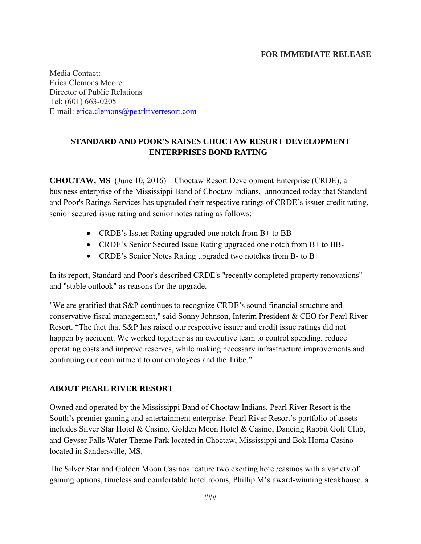## **FOR IMMEDIATE RELEASE**

Media Contact: Erica Clemons Moore Director of Public Relations Tel: (601) 663-0205 E-mail: [erica.clemons@pearlriverresort.com](mailto:erica.clemons@pearlriverresort.com)

## **STANDARD AND POOR'S RAISES CHOCTAW RESORT DEVELOPMENT ENTERPRISES BOND RATING**

**CHOCTAW, MS** (June 10, 2016) – Choctaw Resort Development Enterprise (CRDE), a business enterprise of the Mississippi Band of Choctaw Indians, announced today that Standard and Poor's Ratings Services has upgraded their respective ratings of CRDE's issuer credit rating, senior secured issue rating and senior notes rating as follows:

- CRDE's Issuer Rating upgraded one notch from B+ to BB-
- CRDE's Senior Secured Issue Rating upgraded one notch from B+ to BB-
- CRDE's Senior Notes Rating upgraded two notches from B- to B+

In its report, Standard and Poor's described CRDE's "recently completed property renovations" and "stable outlook" as reasons for the upgrade.

"We are gratified that S&P continues to recognize CRDE's sound financial structure and conservative fiscal management," said Sonny Johnson, Interim President & CEO for Pearl River Resort. "The fact that S&P has raised our respective issuer and credit issue ratings did not happen by accident. We worked together as an executive team to control spending, reduce operating costs and improve reserves, while making necessary infrastructure improvements and continuing our commitment to our employees and the Tribe."

## **ABOUT PEARL RIVER RESORT**

Owned and operated by the Mississippi Band of Choctaw Indians, Pearl River Resort is the South's premier gaming and entertainment enterprise. Pearl River Resort's portfolio of assets includes Silver Star Hotel & Casino, Golden Moon Hotel & Casino, Dancing Rabbit Golf Club, and Geyser Falls Water Theme Park located in Choctaw, Mississippi and Bok Homa Casino located in Sandersville, MS.

The Silver Star and Golden Moon Casinos feature two exciting hotel/casinos with a variety of gaming options, timeless and comfortable hotel rooms, Phillip M's award-winning steakhouse, a